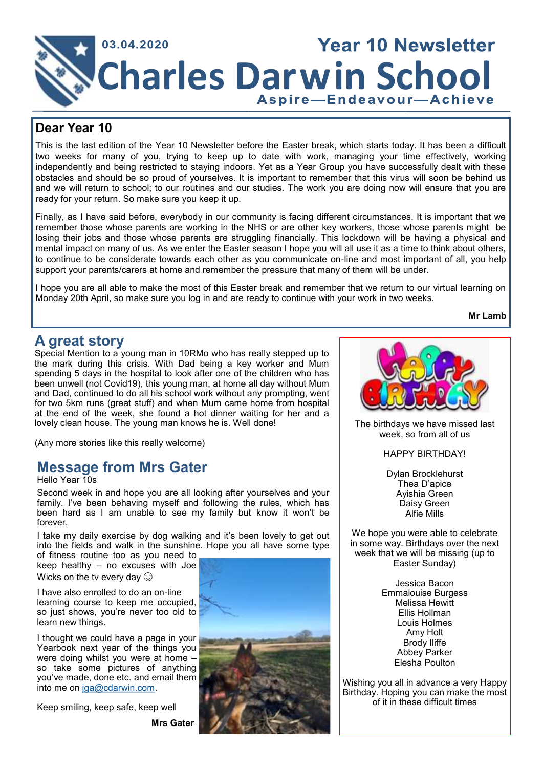

### **Dear Year 10**

This is the last edition of the Year 10 Newsletter before the Easter break, which starts today. It has been a difficult two weeks for many of you, trying to keep up to date with work, managing your time effectively, working independently and being restricted to staying indoors. Yet as a Year Group you have successfully dealt with these obstacles and should be so proud of yourselves. It is important to remember that this virus will soon be behind us and we will return to school; to our routines and our studies. The work you are doing now will ensure that you are ready for your return. So make sure you keep it up.

Finally, as I have said before, everybody in our community is facing different circumstances. It is important that we remember those whose parents are working in the NHS or are other key workers, those whose parents might be losing their jobs and those whose parents are struggling financially. This lockdown will be having a physical and mental impact on many of us. As we enter the Easter season I hope you will all use it as a time to think about others, to continue to be considerate towards each other as you communicate on-line and most important of all, you help support your parents/carers at home and remember the pressure that many of them will be under.

I hope you are all able to make the most of this Easter break and remember that we return to our virtual learning on Monday 20th April, so make sure you log in and are ready to continue with your work in two weeks.

**Mr Lamb**

## **A great story**

Special Mention to a young man in 10RMo who has really stepped up to the mark during this crisis. With Dad being a key worker and Mum spending 5 days in the hospital to look after one of the children who has been unwell (not Covid19), this young man, at home all day without Mum and Dad, continued to do all his school work without any prompting, went for two 5km runs (great stuff) and when Mum came home from hospital at the end of the week, she found a hot dinner waiting for her and a lovely clean house. The young man knows he is. Well done!

(Any more stories like this really welcome)

## **Message from Mrs Gater**

Hello Year 10s

Second week in and hope you are all looking after yourselves and your family. I've been behaving myself and following the rules, which has been hard as I am unable to see my family but know it won't be forever.

I take my daily exercise by dog walking and it's been lovely to get out into the fields and walk in the sunshine. Hope you all have some type

of fitness routine too as you need to keep healthy – no excuses with Joe Wicks on the tv every day  $\odot$ 

I have also enrolled to do an on-line learning course to keep me occupied, so just shows, you're never too old to learn new things.

I thought we could have a page in your Yearbook next year of the things you were doing whilst you were at home – so take some pictures of anything you've made, done etc. and email them into me on [jga@cdarwin.com.](mailto:jga@cdarwin.com)

Keep smiling, keep safe, keep well

**Mrs Gater**





The birthdays we have missed last week, so from all of us

HAPPY BIRTHDAY!

Dylan Brocklehurst Thea D'apice Ayishia Green Daisy Green Alfie Mills

We hope you were able to celebrate in some way. Birthdays over the next week that we will be missing (up to Easter Sunday)

> Jessica Bacon Emmalouise Burgess Melissa Hewitt Ellis Hollman Louis Holmes Amy Holt Brody Iliffe Abbey Parker Elesha Poulton

Wishing you all in advance a very Happy Birthday. Hoping you can make the most of it in these difficult times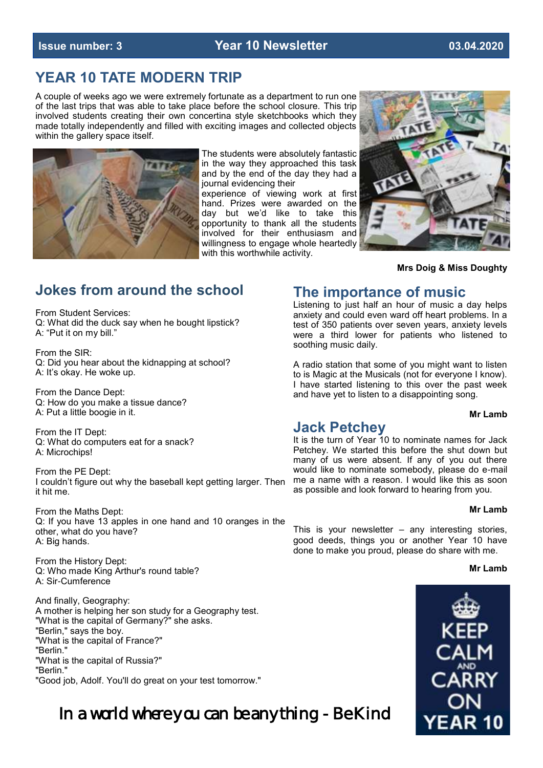#### **Issue number: 3 Year 10 Newsletter 03.04.2020**

## **YEAR 10 TATE MODERN TRIP**

A couple of weeks ago we were extremely fortunate as a department to run one of the last trips that was able to take place before the school closure. This trip involved students creating their own concertina style sketchbooks which they made totally independently and filled with exciting images and collected objects within the gallery space itself.



The students were absolutely fantastic in the way they approached this task and by the end of the day they had a journal evidencing their

experience of viewing work at first hand. Prizes were awarded on the day but we'd like to take this opportunity to thank all the students involved for their enthusiasm and willingness to engage whole heartedly with this worthwhile activity.



#### **Mrs Doig & Miss Doughty**

## **Jokes from around the school**

From Student Services: Q: What did the duck say when he bought lipstick? A: "Put it on my bill."

From the SIR: Q: Did you hear about the kidnapping at school? A: It's okay. He woke up.

From the Dance Dept: Q: How do you make a tissue dance? A: Put a little boogie in it.

From the IT Dept: Q: What do computers eat for a snack? A: Microchips!

From the PE Dept: I couldn't figure out why the baseball kept getting larger. Then it hit me.

From the Maths Dept: Q: If you have 13 apples in one hand and 10 oranges in the other, what do you have? A: Big hands.

From the History Dept: Q: Who made King Arthur's round table? A: Sir-Cumference

And finally, Geography: A mother is helping her son study for a Geography test. "What is the capital of Germany?" she asks. "Berlin," says the boy. "What is the capital of France?" "Berlin." "What is the capital of Russia?" "Berlin." "Good job, Adolf. You'll do great on your test tomorrow."

In a world where you can be anything - Be Kind

### **The importance of music**

Listening to just half an hour of music a day helps anxiety and could even ward off heart problems. In a test of 350 patients over seven years, anxiety levels were a third lower for patients who listened to soothing music daily.

A radio station that some of you might want to listen to is Magic at the Musicals (not for everyone I know). I have started listening to this over the past week and have yet to listen to a disappointing song.

#### **Mr Lamb**

#### **Jack Petchey**

It is the turn of Year 10 to nominate names for Jack Petchey. We started this before the shut down but many of us were absent. If any of you out there would like to nominate somebody, please do e-mail me a name with a reason. I would like this as soon as possible and look forward to hearing from you.

#### **Mr Lamb**

This is your newsletter  $-$  any interesting stories, good deeds, things you or another Year 10 have done to make you proud, please do share with me.

#### **Mr Lamb**